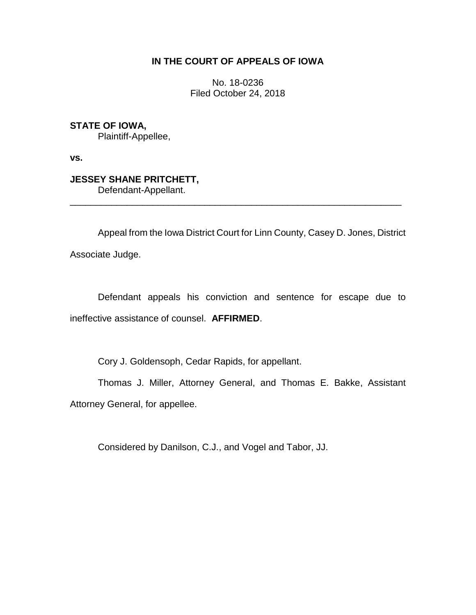# **IN THE COURT OF APPEALS OF IOWA**

No. 18-0236 Filed October 24, 2018

**STATE OF IOWA,** Plaintiff-Appellee,

**vs.**

**JESSEY SHANE PRITCHETT,** Defendant-Appellant.

Appeal from the Iowa District Court for Linn County, Casey D. Jones, District Associate Judge.

\_\_\_\_\_\_\_\_\_\_\_\_\_\_\_\_\_\_\_\_\_\_\_\_\_\_\_\_\_\_\_\_\_\_\_\_\_\_\_\_\_\_\_\_\_\_\_\_\_\_\_\_\_\_\_\_\_\_\_\_\_\_\_\_

Defendant appeals his conviction and sentence for escape due to ineffective assistance of counsel. **AFFIRMED**.

Cory J. Goldensoph, Cedar Rapids, for appellant.

Thomas J. Miller, Attorney General, and Thomas E. Bakke, Assistant Attorney General, for appellee.

Considered by Danilson, C.J., and Vogel and Tabor, JJ.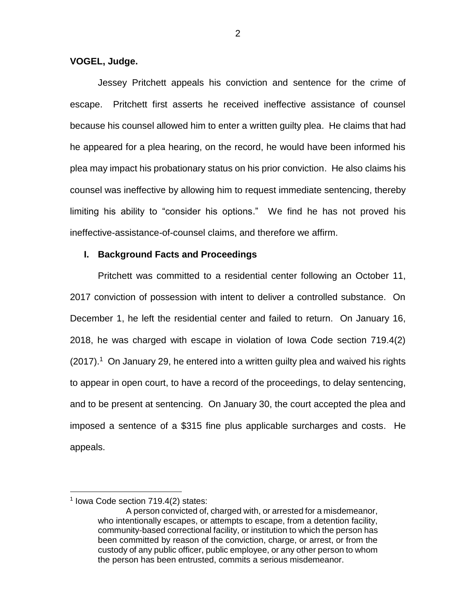**VOGEL, Judge.**

Jessey Pritchett appeals his conviction and sentence for the crime of escape. Pritchett first asserts he received ineffective assistance of counsel because his counsel allowed him to enter a written guilty plea. He claims that had he appeared for a plea hearing, on the record, he would have been informed his plea may impact his probationary status on his prior conviction. He also claims his counsel was ineffective by allowing him to request immediate sentencing, thereby limiting his ability to "consider his options." We find he has not proved his ineffective-assistance-of-counsel claims, and therefore we affirm.

### **I. Background Facts and Proceedings**

Pritchett was committed to a residential center following an October 11, 2017 conviction of possession with intent to deliver a controlled substance. On December 1, he left the residential center and failed to return. On January 16, 2018, he was charged with escape in violation of Iowa Code section 719.4(2) (2017).<sup>1</sup> On January 29, he entered into a written guilty plea and waived his rights to appear in open court, to have a record of the proceedings, to delay sentencing, and to be present at sentencing. On January 30, the court accepted the plea and imposed a sentence of a \$315 fine plus applicable surcharges and costs. He appeals.

 $\overline{a}$ 

<sup>1</sup> Iowa Code section 719.4(2) states:

A person convicted of, charged with, or arrested for a misdemeanor, who intentionally escapes, or attempts to escape, from a detention facility, community-based correctional facility, or institution to which the person has been committed by reason of the conviction, charge, or arrest, or from the custody of any public officer, public employee, or any other person to whom the person has been entrusted, commits a serious misdemeanor.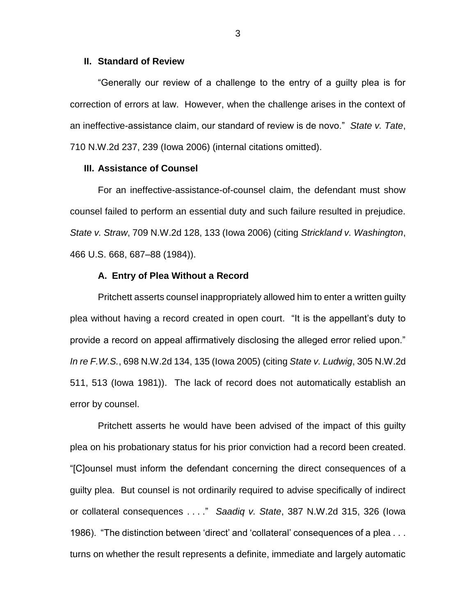#### **II. Standard of Review**

"Generally our review of a challenge to the entry of a guilty plea is for correction of errors at law. However, when the challenge arises in the context of an ineffective-assistance claim, our standard of review is de novo." *State v. Tate*, 710 N.W.2d 237, 239 (Iowa 2006) (internal citations omitted).

#### **III. Assistance of Counsel**

For an ineffective-assistance-of-counsel claim, the defendant must show counsel failed to perform an essential duty and such failure resulted in prejudice. *State v. Straw*, 709 N.W.2d 128, 133 (Iowa 2006) (citing *Strickland v. Washington*, 466 U.S. 668, 687–88 (1984)).

#### **A. Entry of Plea Without a Record**

Pritchett asserts counsel inappropriately allowed him to enter a written guilty plea without having a record created in open court. "It is the appellant's duty to provide a record on appeal affirmatively disclosing the alleged error relied upon." *In re F.W.S.*, 698 N.W.2d 134, 135 (Iowa 2005) (citing *State v. Ludwig*, 305 N.W.2d 511, 513 (Iowa 1981)). The lack of record does not automatically establish an error by counsel.

Pritchett asserts he would have been advised of the impact of this guilty plea on his probationary status for his prior conviction had a record been created. "[C]ounsel must inform the defendant concerning the direct consequences of a guilty plea. But counsel is not ordinarily required to advise specifically of indirect or collateral consequences . . . ." *Saadiq v. State*, 387 N.W.2d 315, 326 (Iowa 1986). "The distinction between 'direct' and 'collateral' consequences of a plea . . . turns on whether the result represents a definite, immediate and largely automatic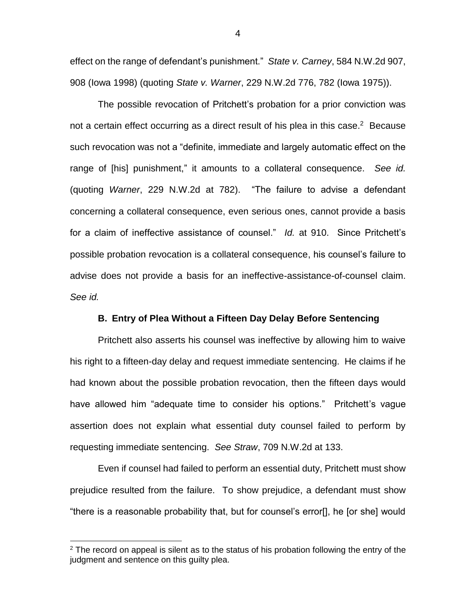effect on the range of defendant's punishment." *State v. Carney*, 584 N.W.2d 907, 908 (Iowa 1998) (quoting *State v. Warner*, 229 N.W.2d 776, 782 (Iowa 1975)).

The possible revocation of Pritchett's probation for a prior conviction was not a certain effect occurring as a direct result of his plea in this case. $2$  Because such revocation was not a "definite, immediate and largely automatic effect on the range of [his] punishment," it amounts to a collateral consequence. *See id.*  (quoting *Warner*, 229 N.W.2d at 782). "The failure to advise a defendant concerning a collateral consequence, even serious ones, cannot provide a basis for a claim of ineffective assistance of counsel." *Id.* at 910. Since Pritchett's possible probation revocation is a collateral consequence, his counsel's failure to advise does not provide a basis for an ineffective-assistance-of-counsel claim. *See id.*

### **B. Entry of Plea Without a Fifteen Day Delay Before Sentencing**

Pritchett also asserts his counsel was ineffective by allowing him to waive his right to a fifteen-day delay and request immediate sentencing. He claims if he had known about the possible probation revocation, then the fifteen days would have allowed him "adequate time to consider his options." Pritchett's vague assertion does not explain what essential duty counsel failed to perform by requesting immediate sentencing. *See Straw*, 709 N.W.2d at 133.

Even if counsel had failed to perform an essential duty, Pritchett must show prejudice resulted from the failure. To show prejudice, a defendant must show "there is a reasonable probability that, but for counsel's error[], he [or she] would

 $\overline{a}$ 

4

 $2$  The record on appeal is silent as to the status of his probation following the entry of the judgment and sentence on this guilty plea.